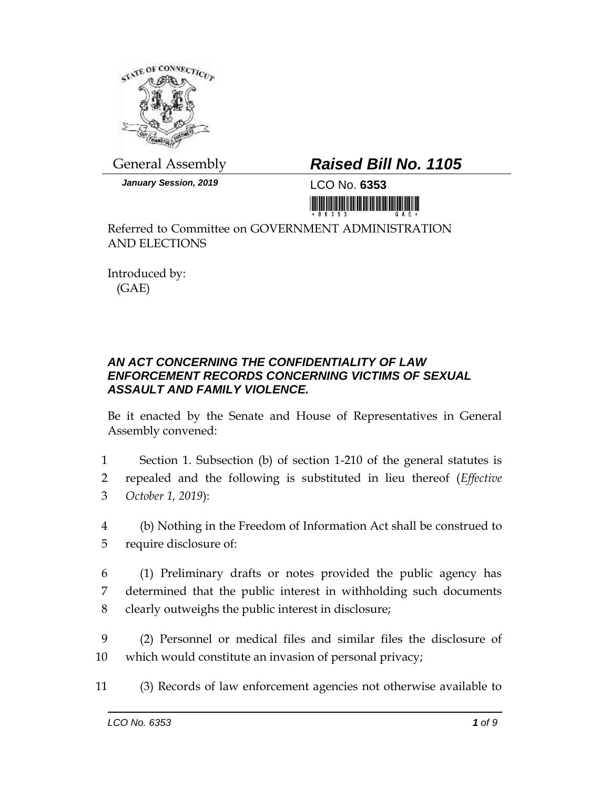

General Assembly *Raised Bill No. 1105*

*January Session, 2019* LCO No. **6353**



Referred to Committee on GOVERNMENT ADMINISTRATION AND ELECTIONS

Introduced by: (GAE)

## *AN ACT CONCERNING THE CONFIDENTIALITY OF LAW ENFORCEMENT RECORDS CONCERNING VICTIMS OF SEXUAL ASSAULT AND FAMILY VIOLENCE.*

Be it enacted by the Senate and House of Representatives in General Assembly convened:

1 Section 1. Subsection (b) of section 1-210 of the general statutes is 2 repealed and the following is substituted in lieu thereof (*Effective*  3 *October 1, 2019*):

- 4 (b) Nothing in the Freedom of Information Act shall be construed to 5 require disclosure of:
- 6 (1) Preliminary drafts or notes provided the public agency has 7 determined that the public interest in withholding such documents 8 clearly outweighs the public interest in disclosure;
- 9 (2) Personnel or medical files and similar files the disclosure of 10 which would constitute an invasion of personal privacy;
- 11 (3) Records of law enforcement agencies not otherwise available to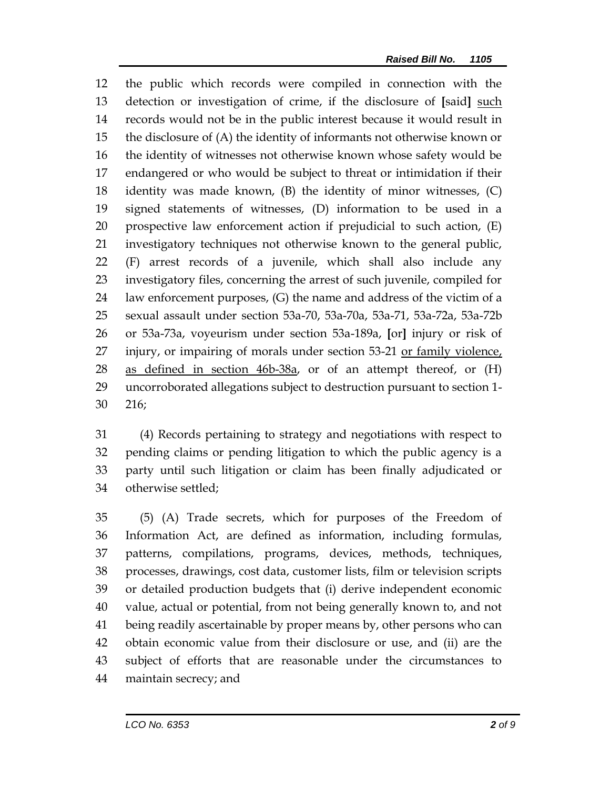the public which records were compiled in connection with the detection or investigation of crime, if the disclosure of **[**said**]** such records would not be in the public interest because it would result in the disclosure of (A) the identity of informants not otherwise known or the identity of witnesses not otherwise known whose safety would be endangered or who would be subject to threat or intimidation if their identity was made known, (B) the identity of minor witnesses, (C) signed statements of witnesses, (D) information to be used in a prospective law enforcement action if prejudicial to such action, (E) investigatory techniques not otherwise known to the general public, (F) arrest records of a juvenile, which shall also include any investigatory files, concerning the arrest of such juvenile, compiled for law enforcement purposes, (G) the name and address of the victim of a sexual assault under section 53a-70, 53a-70a, 53a-71, 53a-72a, 53a-72b or 53a-73a, voyeurism under section 53a-189a, **[**or**]** injury or risk of injury, or impairing of morals under section 53-21 or family violence, 28 as defined in section 46b-38a, or of an attempt thereof, or (H) uncorroborated allegations subject to destruction pursuant to section 1- 216;

 (4) Records pertaining to strategy and negotiations with respect to pending claims or pending litigation to which the public agency is a party until such litigation or claim has been finally adjudicated or otherwise settled;

 (5) (A) Trade secrets, which for purposes of the Freedom of Information Act, are defined as information, including formulas, patterns, compilations, programs, devices, methods, techniques, processes, drawings, cost data, customer lists, film or television scripts or detailed production budgets that (i) derive independent economic value, actual or potential, from not being generally known to, and not being readily ascertainable by proper means by, other persons who can obtain economic value from their disclosure or use, and (ii) are the subject of efforts that are reasonable under the circumstances to maintain secrecy; and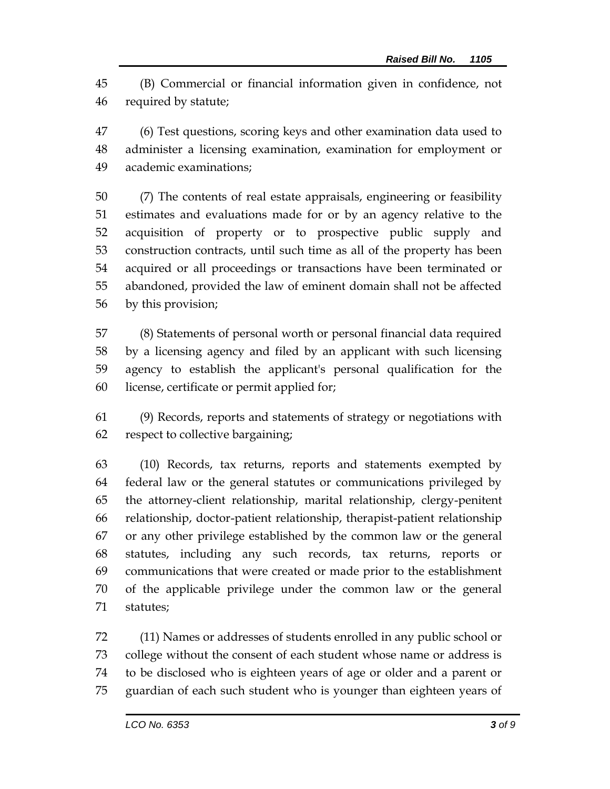(B) Commercial or financial information given in confidence, not required by statute;

 (6) Test questions, scoring keys and other examination data used to administer a licensing examination, examination for employment or academic examinations;

 (7) The contents of real estate appraisals, engineering or feasibility estimates and evaluations made for or by an agency relative to the acquisition of property or to prospective public supply and construction contracts, until such time as all of the property has been acquired or all proceedings or transactions have been terminated or abandoned, provided the law of eminent domain shall not be affected by this provision;

 (8) Statements of personal worth or personal financial data required by a licensing agency and filed by an applicant with such licensing agency to establish the applicant's personal qualification for the license, certificate or permit applied for;

 (9) Records, reports and statements of strategy or negotiations with respect to collective bargaining;

 (10) Records, tax returns, reports and statements exempted by federal law or the general statutes or communications privileged by the attorney-client relationship, marital relationship, clergy-penitent relationship, doctor-patient relationship, therapist-patient relationship or any other privilege established by the common law or the general statutes, including any such records, tax returns, reports or communications that were created or made prior to the establishment of the applicable privilege under the common law or the general statutes;

 (11) Names or addresses of students enrolled in any public school or college without the consent of each student whose name or address is to be disclosed who is eighteen years of age or older and a parent or guardian of each such student who is younger than eighteen years of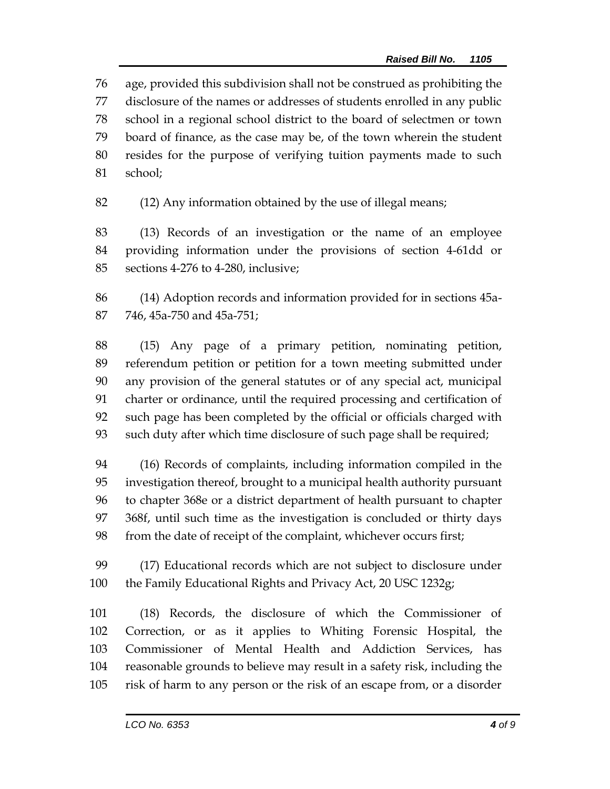age, provided this subdivision shall not be construed as prohibiting the disclosure of the names or addresses of students enrolled in any public school in a regional school district to the board of selectmen or town board of finance, as the case may be, of the town wherein the student resides for the purpose of verifying tuition payments made to such school;

(12) Any information obtained by the use of illegal means;

 (13) Records of an investigation or the name of an employee providing information under the provisions of section 4-61dd or sections 4-276 to 4-280, inclusive;

 (14) Adoption records and information provided for in sections 45a-746, 45a-750 and 45a-751;

 (15) Any page of a primary petition, nominating petition, referendum petition or petition for a town meeting submitted under any provision of the general statutes or of any special act, municipal charter or ordinance, until the required processing and certification of such page has been completed by the official or officials charged with such duty after which time disclosure of such page shall be required;

 (16) Records of complaints, including information compiled in the investigation thereof, brought to a municipal health authority pursuant to chapter 368e or a district department of health pursuant to chapter 368f, until such time as the investigation is concluded or thirty days from the date of receipt of the complaint, whichever occurs first;

 (17) Educational records which are not subject to disclosure under the Family Educational Rights and Privacy Act, 20 USC 1232g;

 (18) Records, the disclosure of which the Commissioner of Correction, or as it applies to Whiting Forensic Hospital, the Commissioner of Mental Health and Addiction Services, has reasonable grounds to believe may result in a safety risk, including the risk of harm to any person or the risk of an escape from, or a disorder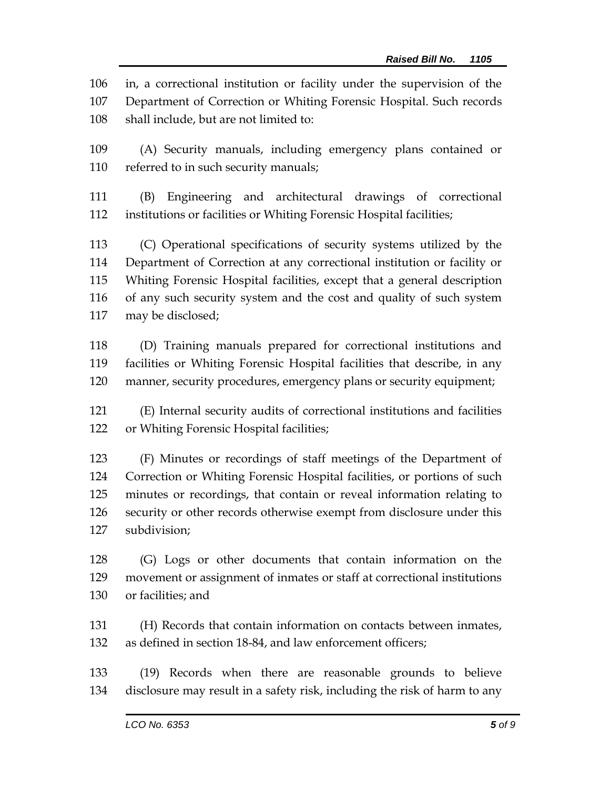in, a correctional institution or facility under the supervision of the Department of Correction or Whiting Forensic Hospital. Such records shall include, but are not limited to:

 (A) Security manuals, including emergency plans contained or referred to in such security manuals;

 (B) Engineering and architectural drawings of correctional institutions or facilities or Whiting Forensic Hospital facilities;

 (C) Operational specifications of security systems utilized by the Department of Correction at any correctional institution or facility or Whiting Forensic Hospital facilities, except that a general description of any such security system and the cost and quality of such system may be disclosed;

 (D) Training manuals prepared for correctional institutions and facilities or Whiting Forensic Hospital facilities that describe, in any manner, security procedures, emergency plans or security equipment;

 (E) Internal security audits of correctional institutions and facilities or Whiting Forensic Hospital facilities;

 (F) Minutes or recordings of staff meetings of the Department of Correction or Whiting Forensic Hospital facilities, or portions of such minutes or recordings, that contain or reveal information relating to security or other records otherwise exempt from disclosure under this subdivision;

 (G) Logs or other documents that contain information on the movement or assignment of inmates or staff at correctional institutions or facilities; and

 (H) Records that contain information on contacts between inmates, as defined in section 18-84, and law enforcement officers;

 (19) Records when there are reasonable grounds to believe disclosure may result in a safety risk, including the risk of harm to any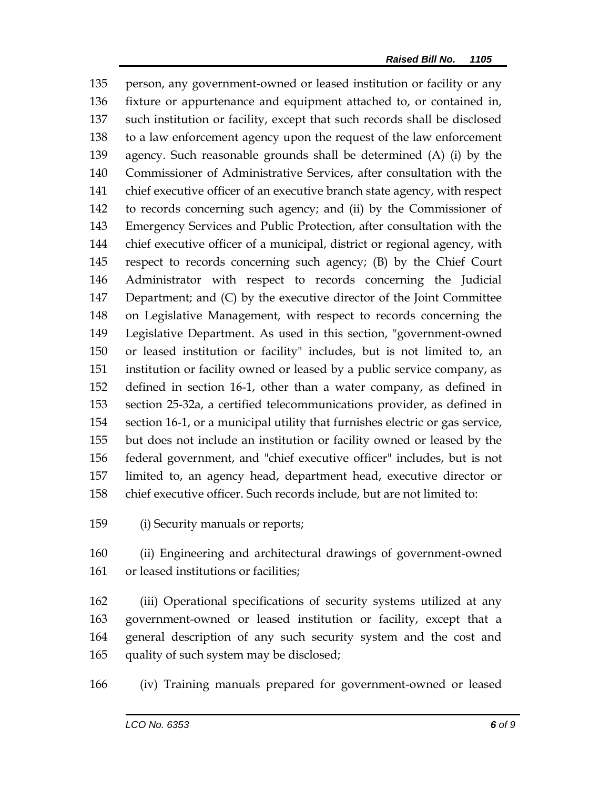person, any government-owned or leased institution or facility or any fixture or appurtenance and equipment attached to, or contained in, such institution or facility, except that such records shall be disclosed to a law enforcement agency upon the request of the law enforcement agency. Such reasonable grounds shall be determined (A) (i) by the Commissioner of Administrative Services, after consultation with the chief executive officer of an executive branch state agency, with respect to records concerning such agency; and (ii) by the Commissioner of Emergency Services and Public Protection, after consultation with the chief executive officer of a municipal, district or regional agency, with respect to records concerning such agency; (B) by the Chief Court Administrator with respect to records concerning the Judicial Department; and (C) by the executive director of the Joint Committee on Legislative Management, with respect to records concerning the Legislative Department. As used in this section, "government-owned or leased institution or facility" includes, but is not limited to, an institution or facility owned or leased by a public service company, as defined in section 16-1, other than a water company, as defined in section 25-32a, a certified telecommunications provider, as defined in section 16-1, or a municipal utility that furnishes electric or gas service, but does not include an institution or facility owned or leased by the federal government, and "chief executive officer" includes, but is not limited to, an agency head, department head, executive director or chief executive officer. Such records include, but are not limited to:

(i) Security manuals or reports;

 (ii) Engineering and architectural drawings of government-owned or leased institutions or facilities;

 (iii) Operational specifications of security systems utilized at any government-owned or leased institution or facility, except that a general description of any such security system and the cost and quality of such system may be disclosed;

(iv) Training manuals prepared for government-owned or leased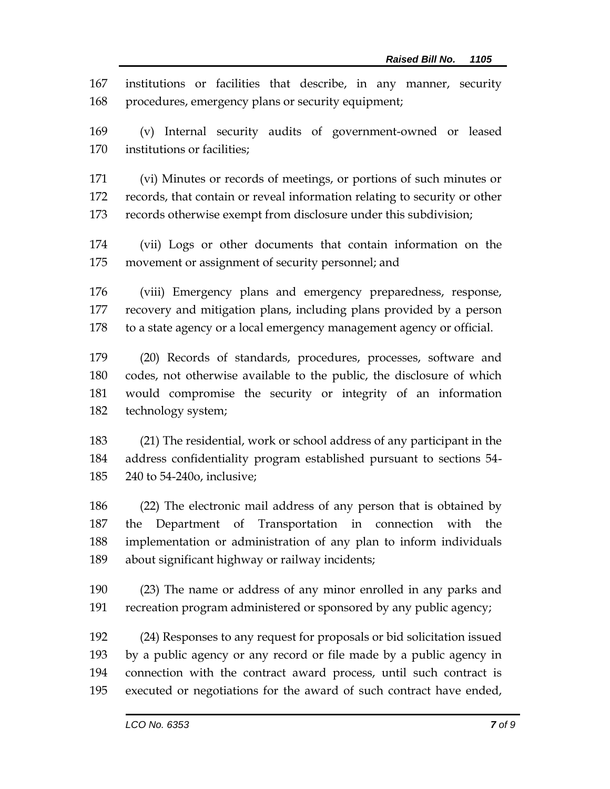institutions or facilities that describe, in any manner, security procedures, emergency plans or security equipment;

 (v) Internal security audits of government-owned or leased institutions or facilities;

 (vi) Minutes or records of meetings, or portions of such minutes or records, that contain or reveal information relating to security or other records otherwise exempt from disclosure under this subdivision;

 (vii) Logs or other documents that contain information on the movement or assignment of security personnel; and

 (viii) Emergency plans and emergency preparedness, response, recovery and mitigation plans, including plans provided by a person to a state agency or a local emergency management agency or official.

 (20) Records of standards, procedures, processes, software and codes, not otherwise available to the public, the disclosure of which would compromise the security or integrity of an information technology system;

 (21) The residential, work or school address of any participant in the address confidentiality program established pursuant to sections 54- 240 to 54-240o, inclusive;

 (22) The electronic mail address of any person that is obtained by the Department of Transportation in connection with the implementation or administration of any plan to inform individuals about significant highway or railway incidents;

 (23) The name or address of any minor enrolled in any parks and recreation program administered or sponsored by any public agency;

 (24) Responses to any request for proposals or bid solicitation issued by a public agency or any record or file made by a public agency in connection with the contract award process, until such contract is executed or negotiations for the award of such contract have ended,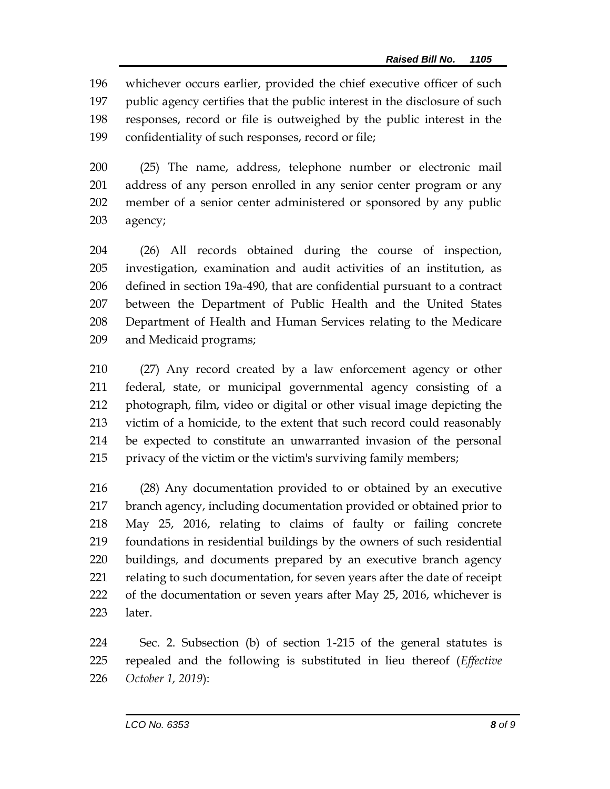whichever occurs earlier, provided the chief executive officer of such public agency certifies that the public interest in the disclosure of such responses, record or file is outweighed by the public interest in the confidentiality of such responses, record or file;

 (25) The name, address, telephone number or electronic mail address of any person enrolled in any senior center program or any member of a senior center administered or sponsored by any public agency;

 (26) All records obtained during the course of inspection, investigation, examination and audit activities of an institution, as defined in section 19a-490, that are confidential pursuant to a contract between the Department of Public Health and the United States Department of Health and Human Services relating to the Medicare and Medicaid programs;

 (27) Any record created by a law enforcement agency or other federal, state, or municipal governmental agency consisting of a photograph, film, video or digital or other visual image depicting the victim of a homicide, to the extent that such record could reasonably be expected to constitute an unwarranted invasion of the personal privacy of the victim or the victim's surviving family members;

 (28) Any documentation provided to or obtained by an executive branch agency, including documentation provided or obtained prior to May 25, 2016, relating to claims of faulty or failing concrete foundations in residential buildings by the owners of such residential buildings, and documents prepared by an executive branch agency relating to such documentation, for seven years after the date of receipt of the documentation or seven years after May 25, 2016, whichever is later.

 Sec. 2. Subsection (b) of section 1-215 of the general statutes is repealed and the following is substituted in lieu thereof (*Effective October 1, 2019*):